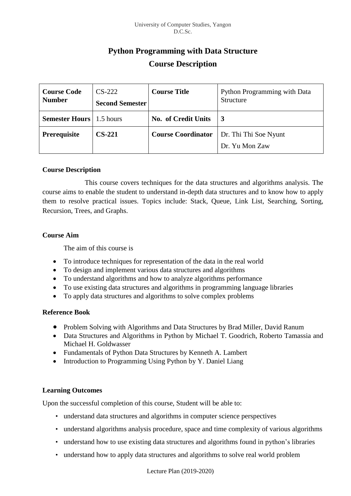# **Python Programming with Data Structure Course Description**

| <b>Course Code</b><br><b>Number</b> | $CS-222$<br><b>Second Semester</b> | <b>Course Title</b>       | Python Programming with Data<br>Structure |  |
|-------------------------------------|------------------------------------|---------------------------|-------------------------------------------|--|
| <b>Semester Hours</b>               | 1.5 hours                          | No. of Credit Units       | $\overline{3}$                            |  |
| Prerequisite                        | $CS-221$                           | <b>Course Coordinator</b> | Dr. Thi Thi Soe Nyunt                     |  |
|                                     |                                    |                           | Dr. Yu Mon Zaw                            |  |

#### **Course Description**

This course covers techniques for the data structures and algorithms analysis. The course aims to enable the student to understand in-depth data structures and to know how to apply them to resolve practical issues. Topics include: Stack, Queue, Link List, Searching, Sorting, Recursion, Trees, and Graphs.

#### **Course Aim**

The aim of this course is

- To introduce techniques for representation of the data in the real world
- To design and implement various data structures and algorithms
- To understand algorithms and how to analyze algorithms performance
- To use existing data structures and algorithms in programming language libraries
- To apply data structures and algorithms to solve complex problems

# **Reference Book**

- Problem Solving with Algorithms and Data Structures by Brad Miller, David Ranum
- Data Structures and Algorithms in Python by Michael T. Goodrich, Roberto Tamassia and Michael H. Goldwasser
- Fundamentals of Python Data Structures by Kenneth A. Lambert
- Introduction to Programming Using Python by Y. Daniel Liang

#### **Learning Outcomes**

Upon the successful completion of this course, Student will be able to:

- understand data structures and algorithms in computer science perspectives
- understand algorithms analysis procedure, space and time complexity of various algorithms
- understand how to use existing data structures and algorithms found in python's libraries
- understand how to apply data structures and algorithms to solve real world problem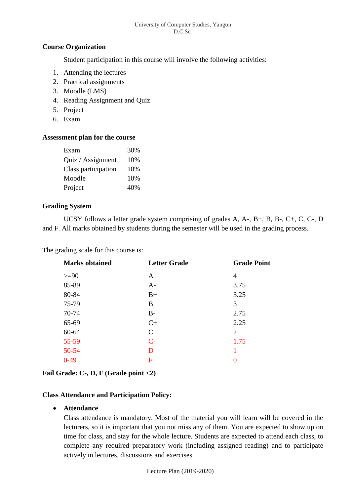# **Course Organization**

Student participation in this course will involve the following activities:

- 1. Attending the lectures
- 2. Practical assignments
- 3. Moodle (LMS)
- 4. Reading Assignment and Quiz
- 5. Project
- 6. Exam

#### **Assessment plan for the course**

| Exam                | 30% |
|---------------------|-----|
| Quiz / Assignment   | 10% |
| Class participation | 10% |
| Moodle              | 10% |
| Project             | 40% |

# **Grading System**

UCSY follows a letter grade system comprising of grades A, A-, B+, B, B-, C+, C, C-, D and F. All marks obtained by students during the semester will be used in the grading process.

The grading scale for this course is:

| <b>Letter Grade</b> | <b>Grade Point</b> |
|---------------------|--------------------|
| A                   | 4                  |
| $A-$                | 3.75               |
| $B+$                | 3.25               |
| B                   | 3                  |
| $B-$                | 2.75               |
| $C+$                | 2.25               |
| $\mathcal{C}$       | $\overline{2}$     |
| $C-$                | 1.75               |
| D                   |                    |
| F                   | 0                  |
|                     |                    |

# **Fail Grade: C-, D, F (Grade point <2)**

# **Class Attendance and Participation Policy:**

# • **Attendance**

Class attendance is mandatory. Most of the material you will learn will be covered in the lecturers, so it is important that you not miss any of them. You are expected to show up on time for class, and stay for the whole lecture. Students are expected to attend each class, to complete any required preparatory work (including assigned reading) and to participate actively in lectures, discussions and exercises.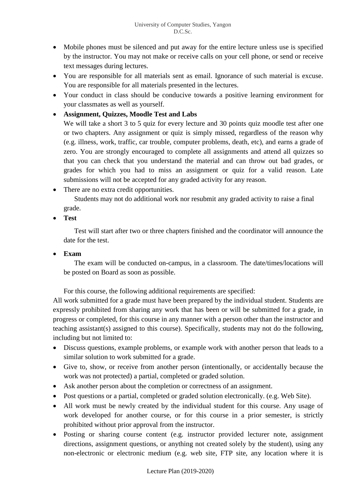- Mobile phones must be silenced and put away for the entire lecture unless use is specified by the instructor. You may not make or receive calls on your cell phone, or send or receive text messages during lectures.
- You are responsible for all materials sent as email. Ignorance of such material is excuse. You are responsible for all materials presented in the lectures.
- Your conduct in class should be conducive towards a positive learning environment for your classmates as well as yourself.
- **Assignment, Quizzes, Moodle Test and Labs**

We will take a short 3 to 5 quiz for every lecture and 30 points quiz moodle test after one or two chapters. Any assignment or quiz is simply missed, regardless of the reason why (e.g. illness, work, traffic, car trouble, computer problems, death, etc), and earns a grade of zero. You are strongly encouraged to complete all assignments and attend all quizzes so that you can check that you understand the material and can throw out bad grades, or grades for which you had to miss an assignment or quiz for a valid reason. Late submissions will not be accepted for any graded activity for any reason.

• There are no extra credit opportunities.

Students may not do additional work nor resubmit any graded activity to raise a final grade.

• **Test**

Test will start after two or three chapters finished and the coordinator will announce the date for the test.

• **Exam**

The exam will be conducted on-campus, in a classroom. The date/times/locations will be posted on Board as soon as possible.

For this course, the following additional requirements are specified:

All work submitted for a grade must have been prepared by the individual student. Students are expressly prohibited from sharing any work that has been or will be submitted for a grade, in progress or completed, for this course in any manner with a person other than the instructor and teaching assistant(s) assigned to this course). Specifically, students may not do the following, including but not limited to:

- Discuss questions, example problems, or example work with another person that leads to a similar solution to work submitted for a grade.
- Give to, show, or receive from another person (intentionally, or accidentally because the work was not protected) a partial, completed or graded solution.
- Ask another person about the completion or correctness of an assignment.
- Post questions or a partial, completed or graded solution electronically. (e.g. Web Site).
- All work must be newly created by the individual student for this course. Any usage of work developed for another course, or for this course in a prior semester, is strictly prohibited without prior approval from the instructor.
- Posting or sharing course content (e.g. instructor provided lecturer note, assignment directions, assignment questions, or anything not created solely by the student), using any non-electronic or electronic medium (e.g. web site, FTP site, any location where it is